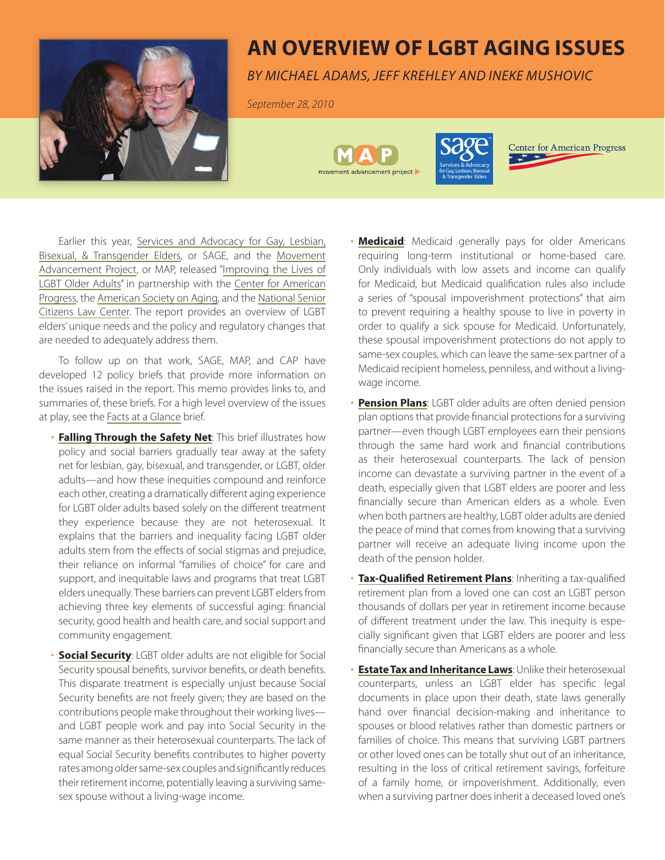

## **An Overview of LGBT Aging Issues**

*by Michael Adams, Jeff Krehley and Ineke Mushovic*

*September 28, 2010*





**Center for American Progress** 

Earlier this year, Services and Advocacy for Gay, Lesbian, [Bisexual, & Transgender Elders, or SAGE, and the Movement](www.lgbtmap.org)  Advancement Project, or MAP, released ["Improving the Lives of](http://www.lgbtmap.org/file/advancing-equality-for-lgbt-elders.pdf)  [LGBT Older Adults"](http://www.lgbtmap.org/file/advancing-equality-for-lgbt-elders.pdf) in partnership with the [Center for American](www.americanprogress.org)  [Progress,](www.americanprogress.org) the [American Society on Aging,](http://www.asaging.org/index.cfm) and the [National Senior](www.nsclc.org)  [Citizens Law Center.](www.nsclc.org) The report provides an overview of LGBT elders' unique needs and the policy and regulatory changes that are needed to adequately address them.

To follow up on that work, SAGE, MAP, and CAP have developed 12 policy briefs that provide more information on the issues raised in the report. This memo provides links to, and summaries of, these briefs. For a high level overview of the issues at play, see the [Facts at a Glance](http://www.lgbtmap.org/file/lgbt-older-adults-facts-at-a-glance.pdf) brief.

- **[Falling Through the Safety Net](http://www.lgbtmap.org/file/lgbt-older-adults-falling-through-the-safety-net.pdf)**: This brief illustrates how policy and social barriers gradually tear away at the safety net for lesbian, gay, bisexual, and transgender, or LGBT, older adults—and how these inequities compound and reinforce each other, creating a dramatically different aging experience for LGBT older adults based solely on the different treatment they experience because they are not heterosexual. It explains that the barriers and inequality facing LGBT older adults stem from the effects of social stigmas and prejudice, their reliance on informal "families of choice" for care and support, and inequitable laws and programs that treat LGBT elders unequally. These barriers can prevent LGBT elders from achieving three key elements of successful aging: financial security, good health and health care, and social support and community engagement.
- **[Social Security](http://www.lgbtmap.org/file/lgbt-older-adults-and-social-security.pdf)**: LGBT older adults are not eligible for Social Security spousal benefits, survivor benefits, or death benefits. This disparate treatment is especially unjust because Social Security benefits are not freely given; they are based on the contributions people make throughout their working lives and LGBT people work and pay into Social Security in the same manner as their heterosexual counterparts. The lack of equal Social Security benefits contributes to higher poverty rates among older same-sex couples and significantly reduces their retirement income, potentially leaving a surviving samesex spouse without a living-wage income.
- **[Medicaid](http://www.lgbtmap.org/file/lgbt-older-adults-and-medicaid-long-term-care.pdf):** Medicaid generally pays for older Americans requiring long-term institutional or home-based care. Only individuals with low assets and income can qualify for Medicaid, but Medicaid qualification rules also include a series of "spousal impoverishment protections" that aim to prevent requiring a healthy spouse to live in poverty in order to qualify a sick spouse for Medicaid. Unfortunately, these spousal impoverishment protections do not apply to same-sex couples, which can leave the same-sex partner of a Medicaid recipient homeless, penniless, and without a livingwage income.
- **[Pension Plans](http://www.lgbtmap.org/file/lgbt-older-adults-and-pensions.pdf):** LGBT older adults are often denied pension plan options that provide financial protections for a surviving partner—even though LGBT employees earn their pensions through the same hard work and financial contributions as their heterosexual counterparts. The lack of pension income can devastate a surviving partner in the event of a death, especially given that LGBT elders are poorer and less financially secure than American elders as a whole. Even when both partners are healthy, LGBT older adults are denied the peace of mind that comes from knowing that a surviving partner will receive an adequate living income upon the death of the pension holder.
- **[Tax-Qualified Retirement Plans](http://www.lgbtmap.org/file/lgbt-older-adults-and-tax-qualified-ret-plans.pdf)**: Inheriting a tax-qualified retirement plan from a loved one can cost an LGBT person thousands of dollars per year in retirement income because of different treatment under the law. This inequity is especially significant given that LGBT elders are poorer and less financially secure than Americans as a whole.
- **[Estate Tax and Inheritance Laws](http://www.lgbtmap.org/file/lgbt-older-adults-and-estate-tax-and-inheritance.pdf)**: Unlike their heterosexual counterparts, unless an LGBT elder has specific legal documents in place upon their death, state laws generally hand over financial decision-making and inheritance to spouses or blood relatives rather than domestic partners or families of choice. This means that surviving LGBT partners or other loved ones can be totally shut out of an inheritance, resulting in the loss of critical retirement savings, forfeiture of a family home, or impoverishment. Additionally, even when a surviving partner does inherit a deceased loved one's